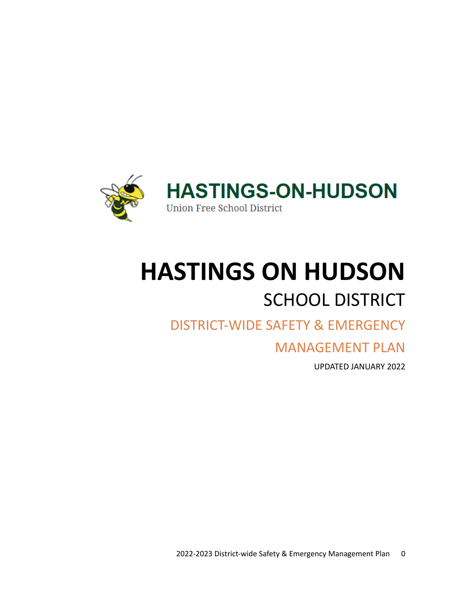

# **HASTINGS ON HUDSON** SCHOOL DISTRICT

## DISTRICT-WIDE SAFETY & EMERGENCY

## MANAGEMENT PLAN

UPDATED JANUARY 2022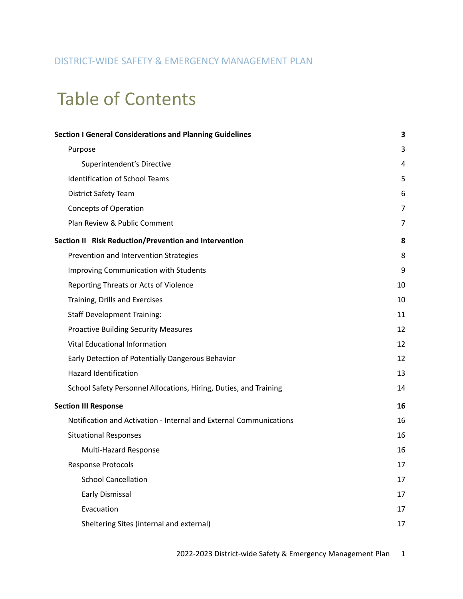## DISTRICT-WIDE SAFETY & EMERGENCY MANAGEMENT PLAN

## Table of Contents

| <b>Section I General Considerations and Planning Guidelines</b>    | 3  |
|--------------------------------------------------------------------|----|
| Purpose                                                            | 3  |
| Superintendent's Directive                                         | 4  |
| <b>Identification of School Teams</b>                              | 5  |
| <b>District Safety Team</b>                                        | 6  |
| <b>Concepts of Operation</b>                                       | 7  |
| Plan Review & Public Comment                                       | 7  |
| Section II Risk Reduction/Prevention and Intervention              | 8  |
| Prevention and Intervention Strategies                             | 8  |
| <b>Improving Communication with Students</b>                       | 9  |
| Reporting Threats or Acts of Violence                              | 10 |
| Training, Drills and Exercises                                     | 10 |
| <b>Staff Development Training:</b>                                 | 11 |
| <b>Proactive Building Security Measures</b>                        | 12 |
| <b>Vital Educational Information</b>                               | 12 |
| Early Detection of Potentially Dangerous Behavior                  | 12 |
| <b>Hazard Identification</b>                                       | 13 |
| School Safety Personnel Allocations, Hiring, Duties, and Training  | 14 |
| <b>Section III Response</b>                                        | 16 |
| Notification and Activation - Internal and External Communications | 16 |
| <b>Situational Responses</b>                                       | 16 |
| Multi-Hazard Response                                              | 16 |
| <b>Response Protocols</b>                                          | 17 |
| <b>School Cancellation</b>                                         | 17 |
| Early Dismissal                                                    | 17 |
| Evacuation                                                         | 17 |
| Sheltering Sites (internal and external)                           | 17 |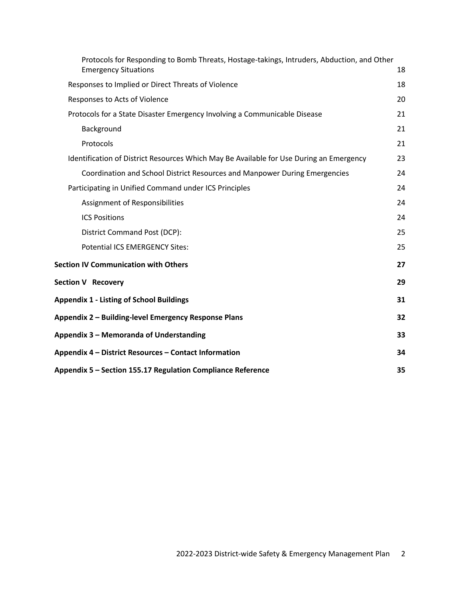| Protocols for Responding to Bomb Threats, Hostage-takings, Intruders, Abduction, and Other<br><b>Emergency Situations</b> | 18 |
|---------------------------------------------------------------------------------------------------------------------------|----|
| Responses to Implied or Direct Threats of Violence                                                                        | 18 |
| Responses to Acts of Violence                                                                                             | 20 |
| Protocols for a State Disaster Emergency Involving a Communicable Disease                                                 | 21 |
| Background                                                                                                                | 21 |
| Protocols                                                                                                                 | 21 |
| Identification of District Resources Which May Be Available for Use During an Emergency                                   | 23 |
| Coordination and School District Resources and Manpower During Emergencies                                                | 24 |
| Participating in Unified Command under ICS Principles                                                                     | 24 |
| Assignment of Responsibilities                                                                                            | 24 |
| <b>ICS Positions</b>                                                                                                      | 24 |
| District Command Post (DCP):                                                                                              | 25 |
| Potential ICS EMERGENCY Sites:                                                                                            | 25 |
| <b>Section IV Communication with Others</b>                                                                               | 27 |
| <b>Section V Recovery</b>                                                                                                 | 29 |
| <b>Appendix 1 - Listing of School Buildings</b>                                                                           | 31 |
| Appendix 2 - Building-level Emergency Response Plans                                                                      | 32 |
| Appendix 3 - Memoranda of Understanding                                                                                   | 33 |
| Appendix 4 – District Resources – Contact Information                                                                     | 34 |
| Appendix 5 - Section 155.17 Regulation Compliance Reference                                                               | 35 |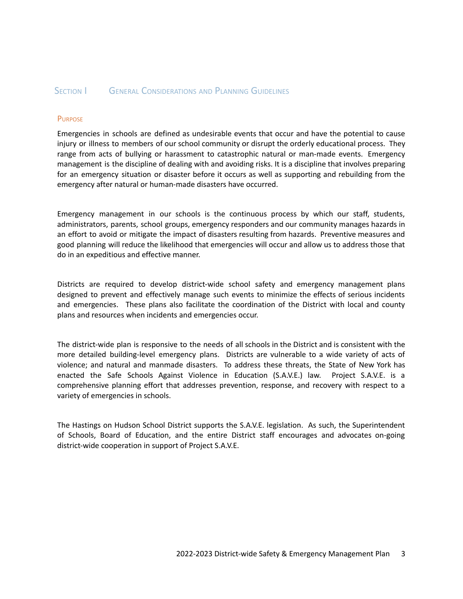#### <span id="page-3-0"></span>SECTION **I** GENERAL CONSIDERATIONS AND PLANNING GUIDELINES

#### <span id="page-3-1"></span>**PURPOSE**

Emergencies in schools are defined as undesirable events that occur and have the potential to cause injury or illness to members of our school community or disrupt the orderly educational process. They range from acts of bullying or harassment to catastrophic natural or man-made events. Emergency management is the discipline of dealing with and avoiding risks. It is a discipline that involves preparing for an emergency situation or disaster before it occurs as well as supporting and rebuilding from the emergency after natural or human-made disasters have occurred.

Emergency management in our schools is the continuous process by which our staff, students, administrators, parents, school groups, emergency responders and our community manages hazards in an effort to avoid or mitigate the impact of disasters resulting from hazards. Preventive measures and good planning will reduce the likelihood that emergencies will occur and allow us to address those that do in an expeditious and effective manner.

Districts are required to develop district-wide school safety and emergency management plans designed to prevent and effectively manage such events to minimize the effects of serious incidents and emergencies. These plans also facilitate the coordination of the District with local and county plans and resources when incidents and emergencies occur.

The district-wide plan is responsive to the needs of all schools in the District and is consistent with the more detailed building-level emergency plans. Districts are vulnerable to a wide variety of acts of violence; and natural and manmade disasters. To address these threats, the State of New York has enacted the Safe Schools Against Violence in Education (S.A.V.E.) law. Project S.A.V.E. is a comprehensive planning effort that addresses prevention, response, and recovery with respect to a variety of emergencies in schools.

The Hastings on Hudson School District supports the S.A.V.E. legislation. As such, the Superintendent of Schools, Board of Education, and the entire District staff encourages and advocates on-going district-wide cooperation in support of Project S.A.V.E.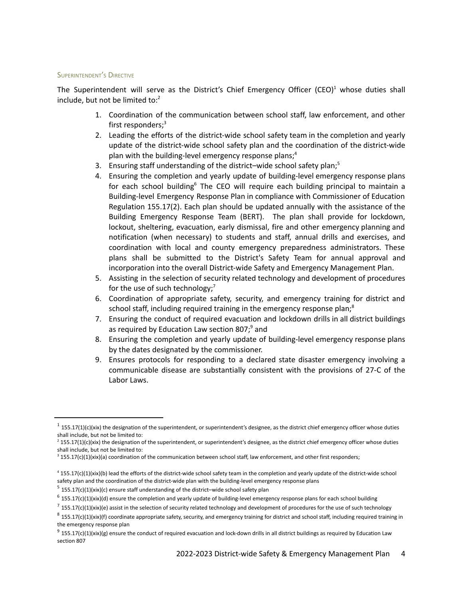#### <span id="page-4-0"></span>SUPERINTENDENT'S DIRECTIVE

<span id="page-4-1"></span>The Superintendent will serve as the District's Chief Emergency Officer (CEO)<sup>1</sup> whose duties shall include, but not be limited to:<sup>2</sup>

- 1. Coordination of the communication between school staff, law enforcement, and other first responders; 3
- 2. Leading the efforts of the district-wide school safety team in the completion and yearly update of the district-wide school safety plan and the coordination of the district-wide plan with the building-level emergency response plans; 4
- 3. Ensuring staff understanding of the district–wide school safety plan; 5
- 4. Ensuring the completion and yearly update of building-level emergency response plans for each school building<sup>6</sup> The CEO will require each building principal to maintain a Building-level Emergency Response Plan in compliance with Commissioner of Education Regulation 155.17(2). Each plan should be updated annually with the assistance of the Building Emergency Response Team (BERT). The plan shall provide for lockdown, lockout, sheltering, evacuation, early dismissal, fire and other emergency planning and notification (when necessary) to students and staff, annual drills and exercises, and coordination with local and county emergency preparedness administrators. These plans shall be submitted to the District's Safety Team for annual approval and incorporation into the overall District-wide Safety and Emergency Management Plan.
- 5. Assisting in the selection of security related technology and development of procedures for the use of such technology;<sup>7</sup>
- 6. Coordination of appropriate safety, security, and emergency training for district and school staff, including required training in the emergency response plan;<sup>8</sup>
- 7. Ensuring the conduct of required evacuation and lockdown drills in all district buildings as required by Education Law section 807;<sup>9</sup> and
- 8. Ensuring the completion and yearly update of building-level emergency response plans by the dates designated by the commissioner.
- 9. Ensures protocols for responding to a declared state disaster emergency involving a communicable disease are substantially consistent with the provisions of 27-C of the Labor Laws.

 $1$  155.17(1)(c)(xix) the designation of the superintendent, or superintendent's designee, as the district chief emergency officer whose duties shall include, but not be limited to:

 $2$  155.17(1)(c)(xix) the designation of the superintendent, or superintendent's designee, as the district chief emergency officer whose duties shall include, but not be limited to:

 $3$  155.17(c)(1)(xix)(a) coordination of the communication between school staff, law enforcement, and other first responders;

<sup>4</sup> 155.17(c)(1)(xix)(b) lead the efforts of the district-wide school safety team in the completion and yearly update of the district-wide school safety plan and the coordination of the district-wide plan with the building-level emergency response plans

 $5$  155.17(c)(1)(xix)(c) ensure staff understanding of the district-wide school safety plan

 $6$  155.17(c)(1)(xix)(d) ensure the completion and yearly update of building-level emergency response plans for each school building

 $^7$  155.17(c)(1)(xix)(e) assist in the selection of security related technology and development of procedures for the use of such technology

 $8$  155.17(c)(1)(xix)(f) coordinate appropriate safety, security, and emergency training for district and school staff, including required training in the emergency response plan

 $9$  155.17(c)(1)(xix)(g) ensure the conduct of required evacuation and lock-down drills in all district buildings as required by Education Law section 807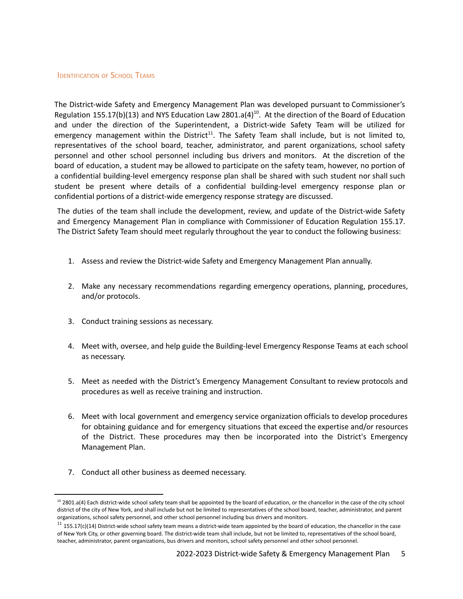#### <span id="page-5-0"></span>**IDENTIFICATION OF SCHOOL TEAMS**

<span id="page-5-1"></span>The District-wide Safety and Emergency Management Plan was developed pursuant to Commissioner's Regulation 155.17(b)(13) and NYS Education Law 2801.a(4)<sup>10</sup>. At the direction of the Board of Education and under the direction of the Superintendent, a District-wide Safety Team will be utilized for emergency management within the District<sup>11</sup>. The Safety Team shall include, but is not limited to, representatives of the school board, teacher, administrator, and parent organizations, school safety personnel and other school personnel including bus drivers and monitors. At the discretion of the board of education, a student may be allowed to participate on the safety team, however, no portion of a confidential building-level emergency response plan shall be shared with such student nor shall such student be present where details of a confidential building-level emergency response plan or confidential portions of a district-wide emergency response strategy are discussed.

The duties of the team shall include the development, review, and update of the District-wide Safety and Emergency Management Plan in compliance with Commissioner of Education Regulation 155.17. The District Safety Team should meet regularly throughout the year to conduct the following business:

- 1. Assess and review the District-wide Safety and Emergency Management Plan annually.
- 2. Make any necessary recommendations regarding emergency operations, planning, procedures, and/or protocols.
- 3. Conduct training sessions as necessary.
- 4. Meet with, oversee, and help guide the Building-level Emergency Response Teams at each school as necessary.
- 5. Meet as needed with the District's Emergency Management Consultant to review protocols and procedures as well as receive training and instruction.
- 6. Meet with local government and emergency service organization officials to develop procedures for obtaining guidance and for emergency situations that exceed the expertise and/or resources of the District. These procedures may then be incorporated into the District's Emergency Management Plan.
- 7. Conduct all other business as deemed necessary.

<sup>&</sup>lt;sup>10</sup> 2801.a(4) Each district-wide school safety team shall be appointed by the board of education, or the chancellor in the case of the city school district of the city of New York, and shall include but not be limited to representatives of the school board, teacher, administrator, and parent organizations, school safety personnel, and other school personnel including bus drivers and monitors.

 $11$  155.17(c)(14) District-wide school safety team means a district-wide team appointed by the board of education, the chancellor in the case of New York City, or other governing board. The district-wide team shall include, but not be limited to, representatives of the school board, teacher, administrator, parent organizations, bus drivers and monitors, school safety personnel and other school personnel.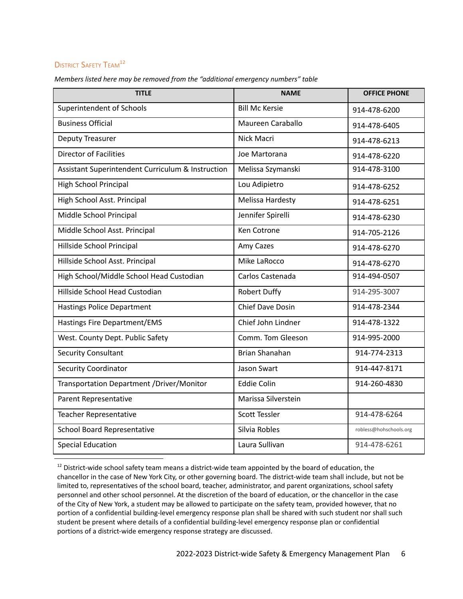## <span id="page-6-0"></span>**DISTRICT SAFETY TEAM<sup>12</sup>**

| <b>TITLE</b>                                      | <b>NAME</b>             | <b>OFFICE PHONE</b>    |
|---------------------------------------------------|-------------------------|------------------------|
| Superintendent of Schools                         | <b>Bill Mc Kersie</b>   | 914-478-6200           |
| <b>Business Official</b>                          | Maureen Caraballo       | 914-478-6405           |
| <b>Deputy Treasurer</b>                           | Nick Macri              | 914-478-6213           |
| <b>Director of Facilities</b>                     | Joe Martorana           | 914-478-6220           |
| Assistant Superintendent Curriculum & Instruction | Melissa Szymanski       | 914-478-3100           |
| <b>High School Principal</b>                      | Lou Adipietro           | 914-478-6252           |
| High School Asst. Principal                       | Melissa Hardesty        | 914-478-6251           |
| Middle School Principal                           | Jennifer Spirelli       | 914-478-6230           |
| Middle School Asst. Principal                     | Ken Cotrone             | 914-705-2126           |
| Hillside School Principal                         | Amy Cazes               | 914-478-6270           |
| Hillside School Asst. Principal                   | Mike LaRocco            | 914-478-6270           |
| High School/Middle School Head Custodian          | Carlos Castenada        | 914-494-0507           |
| Hillside School Head Custodian                    | <b>Robert Duffy</b>     | 914-295-3007           |
| <b>Hastings Police Department</b>                 | <b>Chief Dave Dosin</b> | 914-478-2344           |
| <b>Hastings Fire Department/EMS</b>               | Chief John Lindner      | 914-478-1322           |
| West. County Dept. Public Safety                  | Comm. Tom Gleeson       | 914-995-2000           |
| <b>Security Consultant</b>                        | <b>Brian Shanahan</b>   | 914-774-2313           |
| <b>Security Coordinator</b>                       | Jason Swart             | 914-447-8171           |
| Transportation Department /Driver/Monitor         | <b>Eddie Colin</b>      | 914-260-4830           |
| Parent Representative                             | Marissa Silverstein     |                        |
| <b>Teacher Representative</b>                     | Scott Tessler           | 914-478-6264           |
| <b>School Board Representative</b>                | Silvia Robles           | robless@hohschools.org |
| <b>Special Education</b>                          | Laura Sullivan          | 914-478-6261           |

*Members listed here may be removed from the "additional emergency numbers" table*

 $12$  District-wide school safety team means a district-wide team appointed by the board of education, the chancellor in the case of New York City, or other governing board. The district-wide team shall include, but not be limited to, representatives of the school board, teacher, administrator, and parent organizations, school safety personnel and other school personnel. At the discretion of the board of education, or the chancellor in the case of the City of New York, a student may be allowed to participate on the safety team, provided however, that no portion of a confidential building-level emergency response plan shall be shared with such student nor shall such student be present where details of a confidential building-level emergency response plan or confidential portions of a district-wide emergency response strategy are discussed.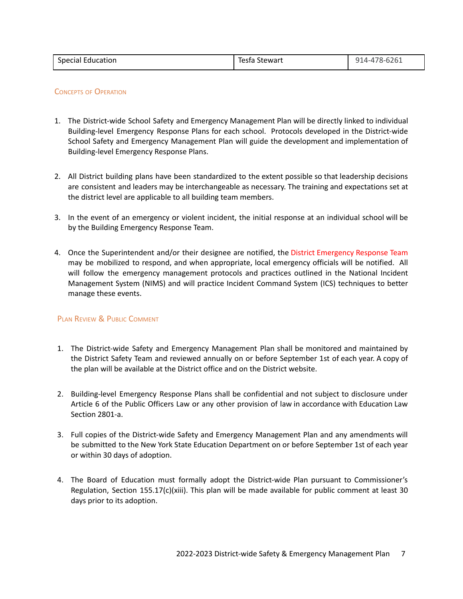| <b>Special Education</b> | Tesfa Stewart | 914-478-6261 |
|--------------------------|---------------|--------------|
|                          |               |              |

#### <span id="page-7-0"></span>CONCEPTS OF OPERATION

- 1. The District-wide School Safety and Emergency Management Plan will be directly linked to individual Building-level Emergency Response Plans for each school. Protocols developed in the District-wide School Safety and Emergency Management Plan will guide the development and implementation of Building-level Emergency Response Plans.
- 2. All District building plans have been standardized to the extent possible so that leadership decisions are consistent and leaders may be interchangeable as necessary. The training and expectations set at the district level are applicable to all building team members.
- 3. In the event of an emergency or violent incident, the initial response at an individual school will be by the Building Emergency Response Team.
- 4. Once the Superintendent and/or their designee are notified, the District Emergency Response Team may be mobilized to respond, and when appropriate, local emergency officials will be notified. All will follow the emergency management protocols and practices outlined in the National Incident Management System (NIMS) and will practice Incident Command System (ICS) techniques to better manage these events.

#### <span id="page-7-1"></span>PLAN REVIEW & PUBLIC COMMENT

- 1. The District-wide Safety and Emergency Management Plan shall be monitored and maintained by the District Safety Team and reviewed annually on or before September 1st of each year. A copy of the plan will be available at the District office and on the District website.
- 2. Building-level Emergency Response Plans shall be confidential and not subject to disclosure under Article 6 of the Public Officers Law or any other provision of law in accordance with Education Law Section 2801-a.
- 3. Full copies of the District-wide Safety and Emergency Management Plan and any amendments will be submitted to the New York State Education Department on or before September 1st of each year or within 30 days of adoption.
- 4. The Board of Education must formally adopt the District-wide Plan pursuant to Commissioner's Regulation, Section 155.17(c)(xiii). This plan will be made available for public comment at least 30 days prior to its adoption.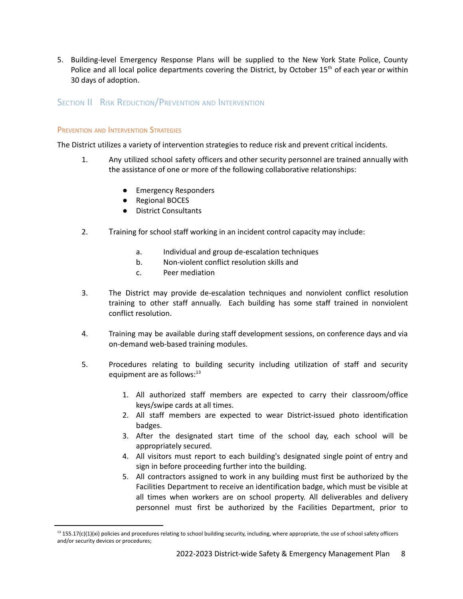5. Building-level Emergency Response Plans will be supplied to the New York State Police, County Police and all local police departments covering the District, by October 15<sup>th</sup> of each year or within 30 days of adoption.

### <span id="page-8-0"></span>SECTION II RISK REDUCTION/PREVENTION AND INTERVENTION

#### <span id="page-8-1"></span>PREVENTION AND INTERVENTION STRATEGIES

The District utilizes a variety of intervention strategies to reduce risk and prevent critical incidents.

- 1. Any utilized school safety officers and other security personnel are trained annually with the assistance of one or more of the following collaborative relationships:
	- **Emergency Responders**
	- Regional BOCES
	- District Consultants
- 2. Training for school staff working in an incident control capacity may include:
	- a. Individual and group de-escalation techniques
	- b. Non-violent conflict resolution skills and
	- c. Peer mediation
- 3. The District may provide de-escalation techniques and nonviolent conflict resolution training to other staff annually. Each building has some staff trained in nonviolent conflict resolution.
- 4. Training may be available during staff development sessions, on conference days and via on-demand web-based training modules.
- <span id="page-8-2"></span>5. Procedures relating to building security including utilization of staff and security equipment are as follows:<sup>13</sup>
	- 1. All authorized staff members are expected to carry their classroom/office keys/swipe cards at all times.
	- 2. All staff members are expected to wear District-issued photo identification badges.
	- 3. After the designated start time of the school day, each school will be appropriately secured.
	- 4. All visitors must report to each building's designated single point of entry and sign in before proceeding further into the building.
	- 5. All contractors assigned to work in any building must first be authorized by the Facilities Department to receive an identification badge, which must be visible at all times when workers are on school property. All deliverables and delivery personnel must first be authorized by the Facilities Department, prior to

 $13$  155.17(c)(1)(xi) policies and procedures relating to school building security, including, where appropriate, the use of school safety officers and/or security devices or procedures;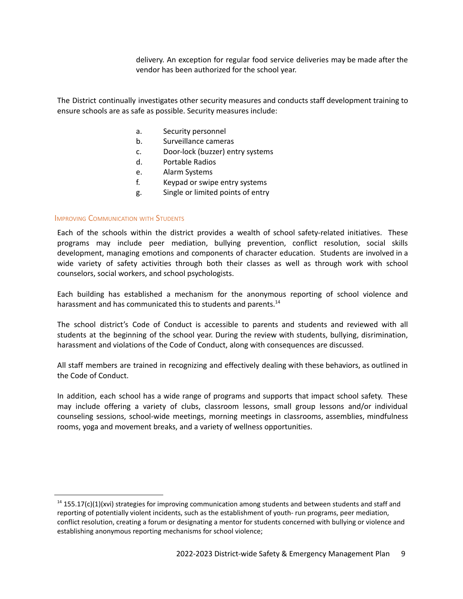delivery. An exception for regular food service deliveries may be made after the vendor has been authorized for the school year.

The District continually investigates other security measures and conducts staff development training to ensure schools are as safe as possible. Security measures include:

- a. Security personnel
- b. Surveillance cameras
- c. Door-lock (buzzer) entry systems
- d. Portable Radios
- e. Alarm Systems
- f. Keypad or swipe entry systems
- g. Single or limited points of entry

#### <span id="page-9-0"></span>IMPROVING COMMUNICATION WITH STUDENTS

Each of the schools within the district provides a wealth of school safety-related initiatives. These programs may include peer mediation, bullying prevention, conflict resolution, social skills development, managing emotions and components of character education. Students are involved in a wide variety of safety activities through both their classes as well as through work with school counselors, social workers, and school psychologists.

Each building has established a mechanism for the anonymous reporting of school violence and harassment and has communicated this to students and parents.<sup>14</sup>

The school district's Code of Conduct is accessible to parents and students and reviewed with all students at the beginning of the school year. During the review with students, bullying, disrimination, harassment and violations of the Code of Conduct, along with consequences are discussed.

All staff members are trained in recognizing and effectively dealing with these behaviors, as outlined in the Code of Conduct.

In addition, each school has a wide range of programs and supports that impact school safety. These may include offering a variety of clubs, classroom lessons, small group lessons and/or individual counseling sessions, school-wide meetings, morning meetings in classrooms, assemblies, mindfulness rooms, yoga and movement breaks, and a variety of wellness opportunities.

 $14$  155.17(c)(1)(xvi) strategies for improving communication among students and between students and staff and reporting of potentially violent incidents, such as the establishment of youth- run programs, peer mediation, conflict resolution, creating a forum or designating a mentor for students concerned with bullying or violence and establishing anonymous reporting mechanisms for school violence;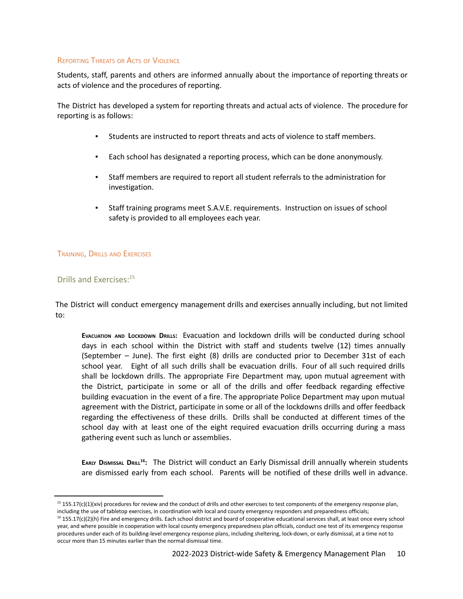#### <span id="page-10-0"></span>REPORTING THREATS OR ACTS OF VIOLENCE

Students, staff, parents and others are informed annually about the importance of reporting threats or acts of violence and the procedures of reporting.

The District has developed a system for reporting threats and actual acts of violence. The procedure for reporting is as follows:

- Students are instructed to report threats and acts of violence to staff members.
- Each school has designated a reporting process, which can be done anonymously.
- Staff members are required to report all student referrals to the administration for investigation.
- Staff training programs meet S.A.V.E. requirements. Instruction on issues of school safety is provided to all employees each year.

#### <span id="page-10-1"></span>TRAINING, DRILLS AND EXERCISES

#### <span id="page-10-2"></span>Drills and Exercises:<sup>15</sup>

The District will conduct emergency management drills and exercises annually including, but not limited to:

**EVACUATION AND LOCKDOWN DRILLS:** Evacuation and lockdown drills will be conducted during school days in each school within the District with staff and students twelve (12) times annually (September – June). The first eight (8) drills are conducted prior to December 31st of each school year. Eight of all such drills shall be evacuation drills. Four of all such required drills shall be lockdown drills. The appropriate Fire Department may, upon mutual agreement with the District, participate in some or all of the drills and offer feedback regarding effective building evacuation in the event of a fire. The appropriate Police Department may upon mutual agreement with the District, participate in some or all of the lockdowns drills and offer feedback regarding the effectiveness of these drills. Drills shall be conducted at different times of the school day with at least one of the eight required evacuation drills occurring during a mass gathering event such as lunch or assemblies.

<span id="page-10-3"></span>EARLY DISMISSAL DRILL<sup>16</sup>: The District will conduct an Early Dismissal drill annually wherein students are dismissed early from each school. Parents will be notified of these drills well in advance.

 $15$  155.17(c)(1)(xiv) procedures for review and the conduct of drills and other exercises to test components of the emergency response plan, including the use of tabletop exercises, in coordination with local and county emergency responders and preparedness officials;

 $16$  155.17(c)(2)(h) Fire and emergency drills. Each school district and board of cooperative educational services shall, at least once every school year, and where possible in cooperation with local county emergency preparedness plan officials, conduct one test of its emergency response procedures under each of its building-level emergency response plans, including sheltering, lock-down, or early dismissal, at a time not to occur more than 15 minutes earlier than the normal dismissal time.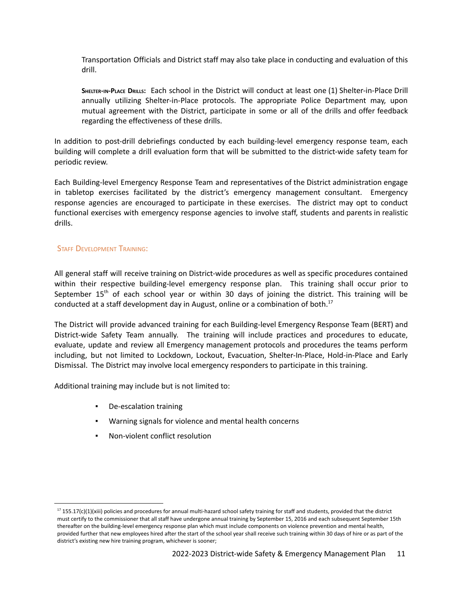Transportation Officials and District staff may also take place in conducting and evaluation of this drill.

**SHELTER-IN-PLACE DRILLS:** Each school in the District will conduct at least one (1) Shelter-in-Place Drill annually utilizing Shelter-in-Place protocols. The appropriate Police Department may, upon mutual agreement with the District, participate in some or all of the drills and offer feedback regarding the effectiveness of these drills.

In addition to post-drill debriefings conducted by each building-level emergency response team, each building will complete a drill evaluation form that will be submitted to the district-wide safety team for periodic review.

Each Building-level Emergency Response Team and representatives of the District administration engage in tabletop exercises facilitated by the district's emergency management consultant. Emergency response agencies are encouraged to participate in these exercises. The district may opt to conduct functional exercises with emergency response agencies to involve staff, students and parents in realistic drills.

#### <span id="page-11-0"></span>STAFF DEVELOPMENT TRAINING:

All general staff will receive training on District-wide procedures as well as specific procedures contained within their respective building-level emergency response plan. This training shall occur prior to September 15<sup>th</sup> of each school year or within 30 days of joining the district. This training will be conducted at a staff development day in August, online or a combination of both. 17

The District will provide advanced training for each Building-level Emergency Response Team (BERT) and District-wide Safety Team annually. The training will include practices and procedures to educate, evaluate, update and review all Emergency management protocols and procedures the teams perform including, but not limited to Lockdown, Lockout, Evacuation, Shelter-In-Place, Hold-in-Place and Early Dismissal. The District may involve local emergency responders to participate in this training.

Additional training may include but is not limited to:

- De-escalation training
- Warning signals for violence and mental health concerns
- Non-violent conflict resolution

<sup>&</sup>lt;sup>17</sup> 155.17(c)(1)(xiii) policies and procedures for annual multi-hazard school safety training for staff and students, provided that the district must certify to the commissioner that all staff have undergone annual training by September 15, 2016 and each subsequent September 15th thereafter on the building-level emergency response plan which must include components on violence prevention and mental health, provided further that new employees hired after the start of the school year shall receive such training within 30 days of hire or as part of the district's existing new hire training program, whichever is sooner;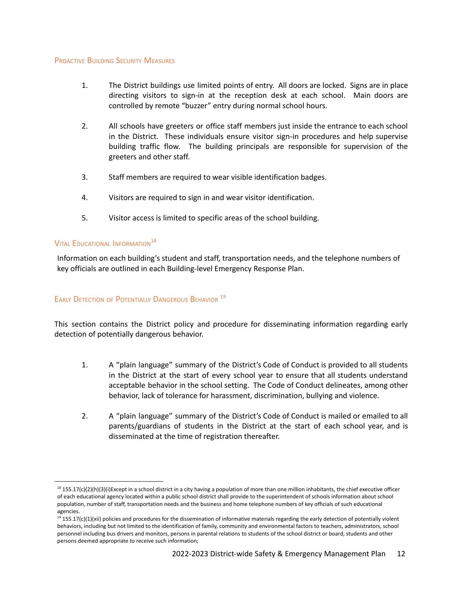#### <span id="page-12-0"></span>PROACTIVE BUILDING SECURITY MEASURES

- 1. The District buildings use limited points of entry. All doors are locked. Signs are in place directing visitors to sign-in at the reception desk at each school. Main doors are controlled by remote "buzzer" entry during normal school hours.
- 2. All schools have greeters or office staff members just inside the entrance to each school in the District. These individuals ensure visitor sign-in procedures and help supervise building traffic flow. The building principals are responsible for supervision of the greeters and other staff.
- 3. Staff members are required to wear visible identification badges.
- 4. Visitors are required to sign in and wear visitor identification.
- 5. Visitor access is limited to specific areas of the school building.

## <span id="page-12-1"></span>Vital Educational Information $^{18}$

Information on each building's student and staff, transportation needs, and the telephone numbers of key officials are outlined in each Building-level Emergency Response Plan.

## <span id="page-12-2"></span>EARLY DETECTION OF POTENTIALLY DANGEROUS BEHAVIOR<sup>19</sup>

This section contains the District policy and procedure for disseminating information regarding early detection of potentially dangerous behavior.

- 1. A "plain language" summary of the District's Code of Conduct is provided to all students in the District at the start of every school year to ensure that all students understand acceptable behavior in the school setting. The Code of Conduct delineates, among other behavior, lack of tolerance for harassment, discrimination, bullying and violence.
- 2. A "plain language" summary of the District's Code of Conduct is mailed or emailed to all parents/guardians of students in the District at the start of each school year, and is disseminated at the time of registration thereafter.

 $18$  155.17(c)(2)(h)(3)(i)Except in a school district in a city having a population of more than one million inhabitants, the chief executive officer of each educational agency located within a public school district shall provide to the superintendent of schools information about school population, number of staff, transportation needs and the business and home telephone numbers of key officials of such educational agencies.

<sup>&</sup>lt;sup>19</sup> 155.17(c)(1)(xii) policies and procedures for the dissemination of informative materials regarding the early detection of potentially violent behaviors, including but not limited to the identification of family, community and environmental factors to teachers, administrators, school personnel including bus drivers and monitors, persons in parental relations to students of the school district or board, students and other persons deemed appropriate to receive such information;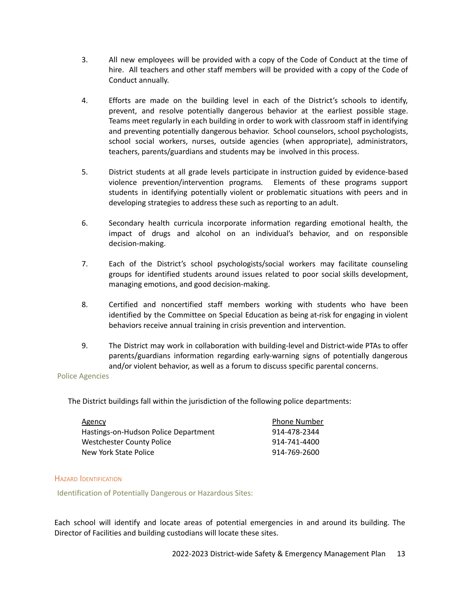- 3. All new employees will be provided with a copy of the Code of Conduct at the time of hire. All teachers and other staff members will be provided with a copy of the Code of Conduct annually.
- 4. Efforts are made on the building level in each of the District's schools to identify, prevent, and resolve potentially dangerous behavior at the earliest possible stage. Teams meet regularly in each building in order to work with classroom staff in identifying and preventing potentially dangerous behavior. School counselors, school psychologists, school social workers, nurses, outside agencies (when appropriate), administrators, teachers, parents/guardians and students may be involved in this process.
- 5. District students at all grade levels participate in instruction guided by evidence-based violence prevention/intervention programs*.* Elements of these programs support students in identifying potentially violent or problematic situations with peers and in developing strategies to address these such as reporting to an adult.
- 6. Secondary health curricula incorporate information regarding emotional health, the impact of drugs and alcohol on an individual's behavior, and on responsible decision-making.
- 7. Each of the District's school psychologists/social workers may facilitate counseling groups for identified students around issues related to poor social skills development, managing emotions, and good decision-making.
- 8. Certified and noncertified staff members working with students who have been identified by the Committee on Special Education as being at-risk for engaging in violent behaviors receive annual training in crisis prevention and intervention.
- 9. The District may work in collaboration with building-level and District-wide PTAs to offer parents/guardians information regarding early-warning signs of potentially dangerous and/or violent behavior, as well as a forum to discuss specific parental concerns.

#### Police Agencies

The District buildings fall within the jurisdiction of the following police departments:

| Agency                               | <b>Phone Number</b> |
|--------------------------------------|---------------------|
| Hastings-on-Hudson Police Department | 914-478-2344        |
| Westchester County Police            | 914-741-4400        |
| New York State Police                | 914-769-2600        |

#### <span id="page-13-0"></span>HAZARD IDENTIFICATION

Identification of Potentially Dangerous or Hazardous Sites:

Each school will identify and locate areas of potential emergencies in and around its building. The Director of Facilities and building custodians will locate these sites.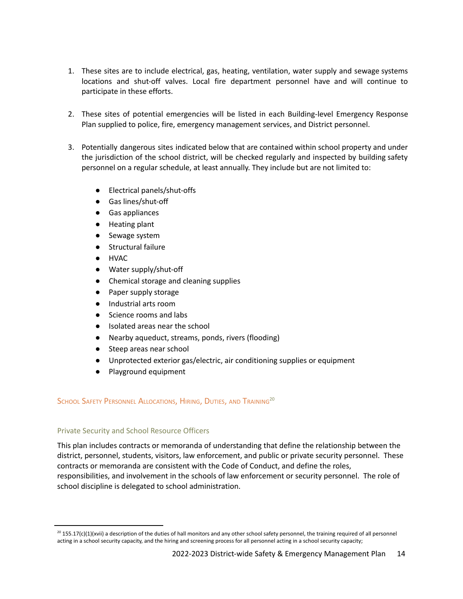- 1. These sites are to include electrical, gas, heating, ventilation, water supply and sewage systems locations and shut-off valves. Local fire department personnel have and will continue to participate in these efforts.
- 2. These sites of potential emergencies will be listed in each Building-level Emergency Response Plan supplied to police, fire, emergency management services, and District personnel.
- 3. Potentially dangerous sites indicated below that are contained within school property and under the jurisdiction of the school district, will be checked regularly and inspected by building safety personnel on a regular schedule, at least annually. They include but are not limited to:
	- Electrical panels/shut-offs
	- Gas lines/shut-off
	- Gas appliances
	- Heating plant
	- Sewage system
	- Structural failure
	- HVAC
	- Water supply/shut-off
	- Chemical storage and cleaning supplies
	- Paper supply storage
	- Industrial arts room
	- Science rooms and labs
	- Isolated areas near the school
	- Nearby aqueduct, streams, ponds, rivers (flooding)
	- Steep areas near school
	- Unprotected exterior gas/electric, air conditioning supplies or equipment
	- Playground equipment

### <span id="page-14-0"></span>School Safety Personnel Allocations, Hiring, Duties, and Training<sup>20</sup>

#### Private Security and School Resource Officers

This plan includes contracts or memoranda of understanding that define the relationship between the district, personnel, students, visitors, law enforcement, and public or private security personnel. These contracts or memoranda are consistent with the Code of Conduct, and define the roles, responsibilities, and involvement in the schools of law enforcement or security personnel. The role of school discipline is delegated to school administration.

 $^{20}$  155.17(c)(1)(xvii) a description of the duties of hall monitors and any other school safety personnel, the training required of all personnel acting in a school security capacity, and the hiring and screening process for all personnel acting in a school security capacity;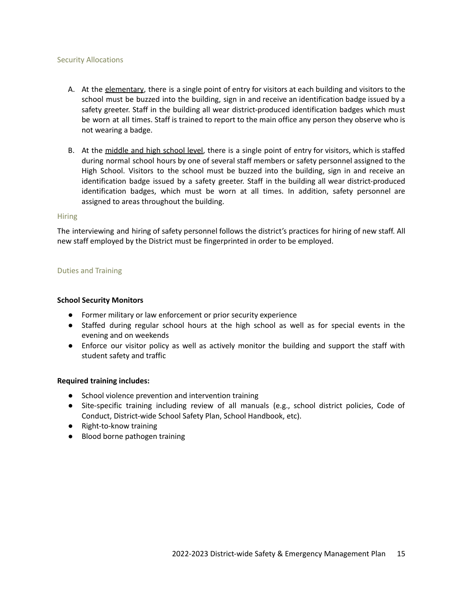#### Security Allocations

- A. At the elementary, there is a single point of entry for visitors at each building and visitors to the school must be buzzed into the building, sign in and receive an identification badge issued by a safety greeter. Staff in the building all wear district-produced identification badges which must be worn at all times. Staff is trained to report to the main office any person they observe who is not wearing a badge.
- B. At the middle and high school level, there is a single point of entry for visitors, which is staffed during normal school hours by one of several staff members or safety personnel assigned to the High School. Visitors to the school must be buzzed into the building, sign in and receive an identification badge issued by a safety greeter. Staff in the building all wear district-produced identification badges, which must be worn at all times. In addition, safety personnel are assigned to areas throughout the building.

#### **Hiring**

The interviewing and hiring of safety personnel follows the district's practices for hiring of new staff. All new staff employed by the District must be fingerprinted in order to be employed.

#### Duties and Training

#### **School Security Monitors**

- Former military or law enforcement or prior security experience
- Staffed during regular school hours at the high school as well as for special events in the evening and on weekends
- Enforce our visitor policy as well as actively monitor the building and support the staff with student safety and traffic

#### **Required training includes:**

- School violence prevention and intervention training
- Site-specific training including review of all manuals (e.g., school district policies, Code of Conduct, District-wide School Safety Plan, School Handbook, etc).
- Right-to-know training
- Blood borne pathogen training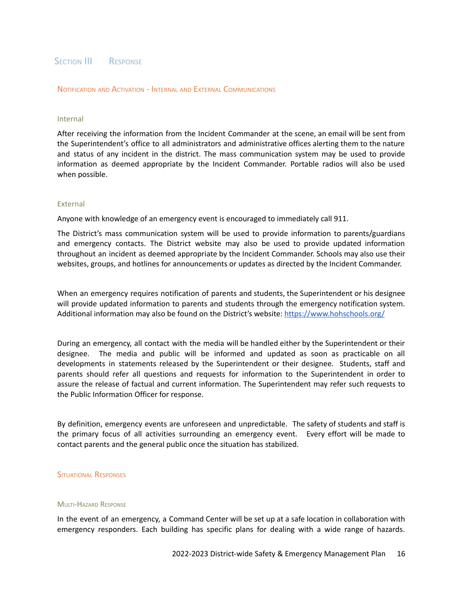#### <span id="page-16-0"></span>SECTION III RESPONSE

<span id="page-16-1"></span>NOTIFICATION AND ACTIVATION - INTERNAL AND EXTERNAL COMMUNICATIONS

#### Internal

After receiving the information from the Incident Commander at the scene, an email will be sent from the Superintendent's office to all administrators and administrative offices alerting them to the nature and status of any incident in the district. The mass communication system may be used to provide information as deemed appropriate by the Incident Commander. Portable radios will also be used when possible.

#### External

Anyone with knowledge of an emergency event is encouraged to immediately call 911.

The District's mass communication system will be used to provide information to parents/guardians and emergency contacts. The District website may also be used to provide updated information throughout an incident as deemed appropriate by the Incident Commander. Schools may also use their websites, groups, and hotlines for announcements or updates as directed by the Incident Commander.

When an emergency requires notification of parents and students, the Superintendent or his designee will provide updated information to parents and students through the emergency notification system. Additional information may also be found on the District's website: <https://www.hohschools.org/>

During an emergency, all contact with the media will be handled either by the Superintendent or their designee. The media and public will be informed and updated as soon as practicable on all developments in statements released by the Superintendent or their designee. Students, staff and parents should refer all questions and requests for information to the Superintendent in order to assure the release of factual and current information. The Superintendent may refer such requests to the Public Information Officer for response.

By definition, emergency events are unforeseen and unpredictable. The safety of students and staff is the primary focus of all activities surrounding an emergency event. Every effort will be made to contact parents and the general public once the situation has stabilized.

#### <span id="page-16-2"></span>SITUATIONAL RESPONSES

#### <span id="page-16-3"></span>MULTI-HAZARD RESPONSE

In the event of an emergency, a Command Center will be set up at a safe location in collaboration with emergency responders. Each building has specific plans for dealing with a wide range of hazards.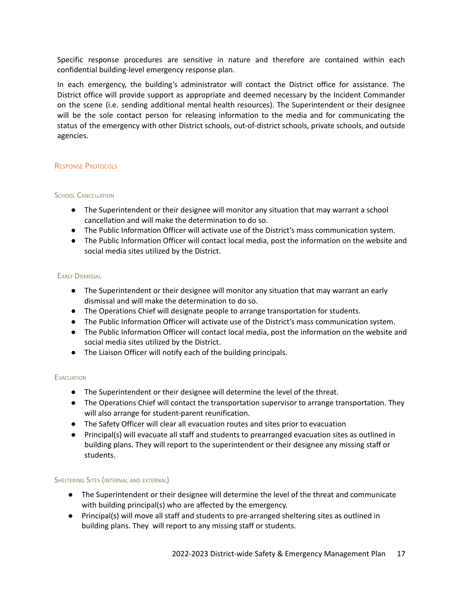Specific response procedures are sensitive in nature and therefore are contained within each confidential building-level emergency response plan.

In each emergency, the building's administrator will contact the District office for assistance. The District office will provide support as appropriate and deemed necessary by the Incident Commander on the scene (i.e. sending additional mental health resources). The Superintendent or their designee will be the sole contact person for releasing information to the media and for communicating the status of the emergency with other District schools, out-of-district schools, private schools, and outside agencies.

#### <span id="page-17-0"></span>RESPONSE PROTOCOLS

#### <span id="page-17-1"></span>SCHOOL CANCELLATION

- The Superintendent or their designee will monitor any situation that may warrant a school cancellation and will make the determination to do so.
- The Public Information Officer will activate use of the District's mass communication system.
- The Public Information Officer will contact local media, post the information on the website and social media sites utilized by the District.

#### <span id="page-17-2"></span>EARLY DISMISSAL

- The Superintendent or their designee will monitor any situation that may warrant an early dismissal and will make the determination to do so.
- The Operations Chief will designate people to arrange transportation for students.
- The Public Information Officer will activate use of the District's mass communication system.
- The Public Information Officer will contact local media, post the information on the website and social media sites utilized by the District.
- The Liaison Officer will notify each of the building principals.

#### <span id="page-17-3"></span>**EVACUATION**

- The Superintendent or their designee will determine the level of the threat.
- The Operations Chief will contact the transportation supervisor to arrange transportation. They will also arrange for student-parent reunification.
- The Safety Officer will clear all evacuation routes and sites prior to evacuation
- Principal(s) will evacuate all staff and students to prearranged evacuation sites as outlined in building plans. They will report to the superintendent or their designee any missing staff or students.

#### <span id="page-17-4"></span>SHELTERING SITES (INTERNAL AND EXTERNAL)

- The Superintendent or their designee will determine the level of the threat and communicate with building principal(s) who are affected by the emergency.
- Principal(s) will move all staff and students to pre-arranged sheltering sites as outlined in building plans. They will report to any missing staff or students.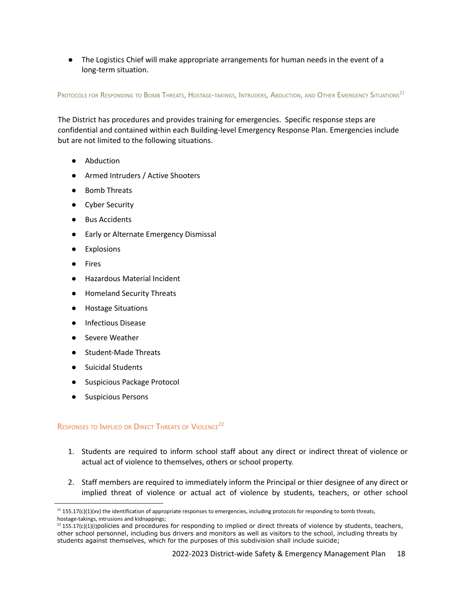● The Logistics Chief will make appropriate arrangements for human needs in the event of a long-term situation.

<span id="page-18-0"></span>Protocols for Responding to Bomb Threats, Hostage-takings, Intruders, Abduction, and Other Emergency Situations<sup>21</sup>

The District has procedures and provides training for emergencies. Specific response steps are confidential and contained within each Building-level Emergency Response Plan. Emergencies include but are not limited to the following situations.

- Abduction
- Armed Intruders / Active Shooters
- Bomb Threats
- Cyber Security
- **Bus Accidents**
- Early or Alternate Emergency Dismissal
- **Explosions**
- **Fires**
- Hazardous Material Incident
- **Homeland Security Threats**
- Hostage Situations
- Infectious Disease
- Severe Weather
- **Student-Made Threats**
- Suicidal Students
- Suspicious Package Protocol
- Suspicious Persons

## <span id="page-18-1"></span>RESPONSES TO IMPLIED OR DIRECT THREATS OF VIOLENCE<sup>22</sup>

- 1. Students are required to inform school staff about any direct or indirect threat of violence or actual act of violence to themselves, others or school property.
- 2. Staff members are required to immediately inform the Principal or thier designee of any direct or implied threat of violence or actual act of violence by students, teachers, or other school

 $^{21}$  155.17(c)(1)(xv) the identification of appropriate responses to emergencies, including protocols for responding to bomb threats, hostage-takings, intrusions and kidnappings;

 $^{22}$  155.17(c)(1)(i)policies and procedures for responding to implied or direct threats of violence by students, teachers, other school personnel, including bus drivers and monitors as well as visitors to the school, including threats by students against themselves, which for the purposes of this subdivision shall include suicide;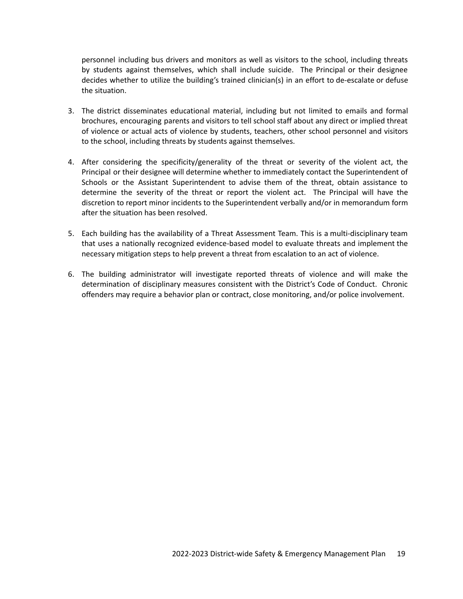personnel including bus drivers and monitors as well as visitors to the school, including threats by students against themselves, which shall include suicide. The Principal or their designee decides whether to utilize the building's trained clinician(s) in an effort to de-escalate or defuse the situation.

- 3. The district disseminates educational material, including but not limited to emails and formal brochures, encouraging parents and visitors to tell school staff about any direct or implied threat of violence or actual acts of violence by students, teachers, other school personnel and visitors to the school, including threats by students against themselves.
- 4. After considering the specificity/generality of the threat or severity of the violent act, the Principal or their designee will determine whether to immediately contact the Superintendent of Schools or the Assistant Superintendent to advise them of the threat, obtain assistance to determine the severity of the threat or report the violent act. The Principal will have the discretion to report minor incidents to the Superintendent verbally and/or in memorandum form after the situation has been resolved.
- 5. Each building has the availability of a Threat Assessment Team. This is a multi-disciplinary team that uses a nationally recognized evidence-based model to evaluate threats and implement the necessary mitigation steps to help prevent a threat from escalation to an act of violence.
- 6. The building administrator will investigate reported threats of violence and will make the determination of disciplinary measures consistent with the District's Code of Conduct. Chronic offenders may require a behavior plan or contract, close monitoring, and/or police involvement.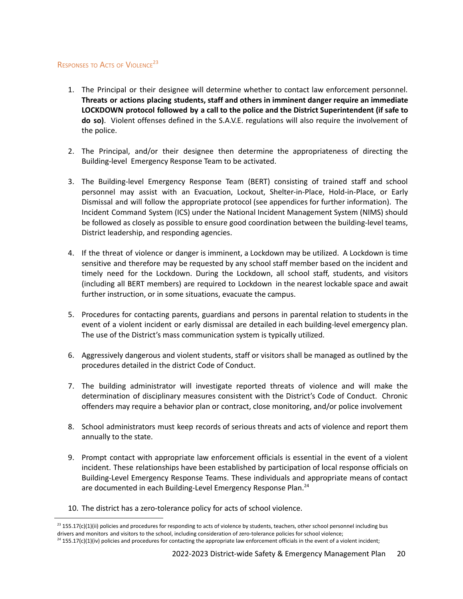## <span id="page-20-0"></span>RESPONSES TO ACTS OF VIOLENCE<sup>23</sup>

- 1. The Principal or their designee will determine whether to contact law enforcement personnel. **Threats or actions placing students, staff and others in imminent danger require an immediate LOCKDOWN protocol followed by a call to the police and the District Superintendent (if safe to do so)**. Violent offenses defined in the S.A.V.E. regulations will also require the involvement of the police.
- 2. The Principal, and/or their designee then determine the appropriateness of directing the Building-level Emergency Response Team to be activated.
- 3. The Building-level Emergency Response Team (BERT) consisting of trained staff and school personnel may assist with an Evacuation, Lockout, Shelter-in-Place, Hold-in-Place, or Early Dismissal and will follow the appropriate protocol (see appendices for further information). The Incident Command System (ICS) under the National Incident Management System (NIMS) should be followed as closely as possible to ensure good coordination between the building-level teams, District leadership, and responding agencies.
- 4. If the threat of violence or danger is imminent, a Lockdown may be utilized. A Lockdown is time sensitive and therefore may be requested by any school staff member based on the incident and timely need for the Lockdown. During the Lockdown, all school staff, students, and visitors (including all BERT members) are required to Lockdown in the nearest lockable space and await further instruction, or in some situations, evacuate the campus.
- 5. Procedures for contacting parents, guardians and persons in parental relation to students in the event of a violent incident or early dismissal are detailed in each building-level emergency plan. The use of the District's mass communication system is typically utilized.
- 6. Aggressively dangerous and violent students, staff or visitors shall be managed as outlined by the procedures detailed in the district Code of Conduct.
- 7. The building administrator will investigate reported threats of violence and will make the determination of disciplinary measures consistent with the District's Code of Conduct. Chronic offenders may require a behavior plan or contract, close monitoring, and/or police involvement
- 8. School administrators must keep records of serious threats and acts of violence and report them annually to the state.
- <span id="page-20-1"></span>9. Prompt contact with appropriate law enforcement officials is essential in the event of a violent incident. These relationships have been established by participation of local response officials on Building-Level Emergency Response Teams. These individuals and appropriate means of contact are documented in each Building-Level Emergency Response Plan.<sup>24</sup>
- 10. The district has a zero-tolerance policy for acts of school violence.

 $^{23}$  155.17(c)(1)(ii) policies and procedures for responding to acts of violence by students, teachers, other school personnel including bus drivers and monitors and visitors to the school, including consideration of zero-tolerance policies for school violence;

 $24$  155.17(c)(1)(iv) policies and procedures for contacting the appropriate law enforcement officials in the event of a violent incident;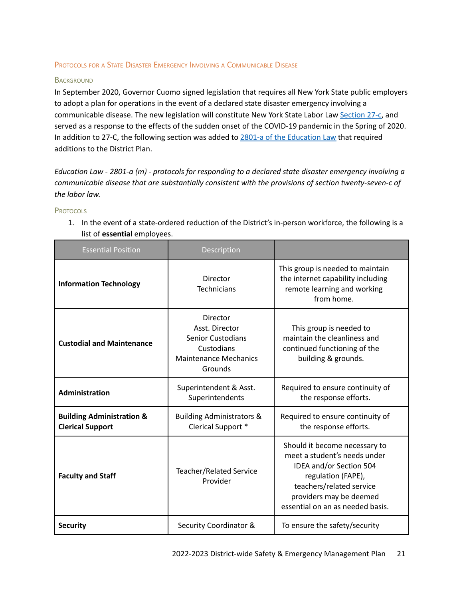#### <span id="page-21-0"></span>PROTOCOLS FOR <sup>A</sup> STATE DISASTER EMERGENCY INVOLVING <sup>A</sup> COMMUNICABLE DISEASE

#### <span id="page-21-1"></span>**BACKGROUND**

In September 2020, Governor Cuomo signed legislation that requires all New York State public employers to adopt a plan for operations in the event of a declared state disaster emergency involving a communicable disease. The new legislation will constitute New York State Labor Law [Section](https://altarisgroup.lt.acemlna.com/Prod/link-tracker?notrack=1¬rack=1&redirectUrl=aHR0cHMlM0ElMkYlMkZ3d3cubnlzZW5hdGUuZ292JTJGbGVnaXNsYXRpb24lMkZsYXdzJTJGTEFCJTJGMjctQw==&a=475248217&account=altarisgroup%2Eactivehosted%2Ecom&email=LRRV6glqIfcVPcYsJBrMHi%2FZD%2BmsUFpJrc5fHf6IoVE%3D&s=bad97c655476f96a390a72c05a742011&i=313A10521A21A1268) 27-c, and served as a response to the effects of the sudden onset of the COVID-19 pandemic in the Spring of 2020. In addition to 27-C, the following section was added to 2801-a of the [Education](https://altarisgroup.lt.acemlna.com/Prod/link-tracker?notrack=1¬rack=1&redirectUrl=aHR0cHMlM0ElMkYlMkZ3d3cubnlzZW5hdGUuZ292JTJGbGVnaXNsYXRpb24lMkZsYXdzJTJGRUROJTJGMjgwMS1B&a=475248217&account=altarisgroup%2Eactivehosted%2Ecom&email=LRRV6glqIfcVPcYsJBrMHi%2FZD%2BmsUFpJrc5fHf6IoVE%3D&s=bad97c655476f96a390a72c05a742011&i=313A10521A21A1269) Law that required additions to the District Plan.

*Education Law - 2801-a (m) - protocols for responding to a declared state disaster emergency involving a communicable disease that are substantially consistent with the provisions of section twenty-seven-c of the labor law.*

#### <span id="page-21-2"></span>**PROTOCOLS**

1. In the event of a state-ordered reduction of the District's in-person workforce, the following is a list of **essential** employees.

| <b>Essential Position</b>                                       | Description                                                                                                     |                                                                                                                                                                                                           |
|-----------------------------------------------------------------|-----------------------------------------------------------------------------------------------------------------|-----------------------------------------------------------------------------------------------------------------------------------------------------------------------------------------------------------|
| <b>Information Technology</b>                                   | Director<br><b>Technicians</b>                                                                                  | This group is needed to maintain<br>the internet capability including<br>remote learning and working<br>from home.                                                                                        |
| <b>Custodial and Maintenance</b>                                | Director<br>Asst. Director<br><b>Senior Custodians</b><br>Custodians<br><b>Maintenance Mechanics</b><br>Grounds | This group is needed to<br>maintain the cleanliness and<br>continued functioning of the<br>building & grounds.                                                                                            |
| <b>Administration</b>                                           | Superintendent & Asst.<br>Superintendents                                                                       | Required to ensure continuity of<br>the response efforts.                                                                                                                                                 |
| <b>Building Administration &amp;</b><br><b>Clerical Support</b> | <b>Building Administrators &amp;</b><br>Clerical Support *                                                      | Required to ensure continuity of<br>the response efforts.                                                                                                                                                 |
| <b>Faculty and Staff</b>                                        | <b>Teacher/Related Service</b><br>Provider                                                                      | Should it become necessary to<br>meet a student's needs under<br>IDEA and/or Section 504<br>regulation (FAPE),<br>teachers/related service<br>providers may be deemed<br>essential on an as needed basis. |
| <b>Security</b>                                                 | Security Coordinator &                                                                                          | To ensure the safety/security                                                                                                                                                                             |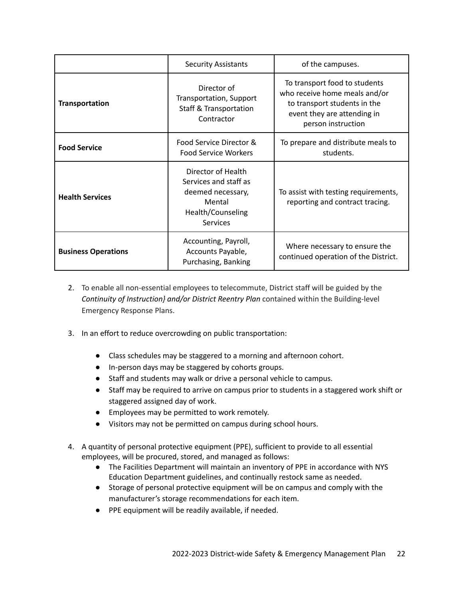|                            | <b>Security Assistants</b>                                                                                  | of the campuses.                                                                                                                                    |
|----------------------------|-------------------------------------------------------------------------------------------------------------|-----------------------------------------------------------------------------------------------------------------------------------------------------|
| <b>Transportation</b>      | Director of<br>Transportation, Support<br><b>Staff &amp; Transportation</b><br>Contractor                   | To transport food to students<br>who receive home meals and/or<br>to transport students in the<br>event they are attending in<br>person instruction |
| <b>Food Service</b>        | Food Service Director &<br><b>Food Service Workers</b>                                                      | To prepare and distribute meals to<br>students.                                                                                                     |
| <b>Health Services</b>     | Director of Health<br>Services and staff as<br>deemed necessary,<br>Mental<br>Health/Counseling<br>Services | To assist with testing requirements,<br>reporting and contract tracing.                                                                             |
| <b>Business Operations</b> | Accounting, Payroll,<br>Accounts Payable,<br>Purchasing, Banking                                            | Where necessary to ensure the<br>continued operation of the District.                                                                               |

- 2. To enable all non-essential employees to telecommute, District staff will be guided by the *Continuity of Instruction} and/or District Reentry Plan* contained within the Building-level Emergency Response Plans.
- 3. In an effort to reduce overcrowding on public transportation:
	- Class schedules may be staggered to a morning and afternoon cohort.
	- In-person days may be staggered by cohorts groups.
	- Staff and students may walk or drive a personal vehicle to campus.
	- Staff may be required to arrive on campus prior to students in a staggered work shift or staggered assigned day of work.
	- Employees may be permitted to work remotely.
	- Visitors may not be permitted on campus during school hours.
- 4. A quantity of personal protective equipment (PPE), sufficient to provide to all essential employees, will be procured, stored, and managed as follows:
	- The Facilities Department will maintain an inventory of PPE in accordance with NYS Education Department guidelines, and continually restock same as needed.
	- Storage of personal protective equipment will be on campus and comply with the manufacturer's storage recommendations for each item.
	- PPE equipment will be readily available, if needed.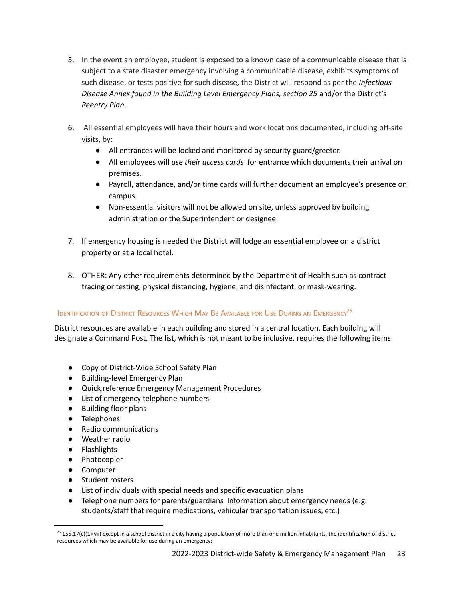- 5. In the event an employee, student is exposed to a known case of a communicable disease that is subject to a state disaster emergency involving a communicable disease, exhibits symptoms of such disease, or tests positive for such disease, the District will respond as per the *Infectious Disease Annex found in the Building Level Emergency Plans, section 25* and/or the District's *Reentry Plan*.
- 6. All essential employees will have their hours and work locations documented, including off-site visits, by:
	- All entrances will be locked and monitored by security guard/greeter.
	- All employees will *use their access cards* for entrance which documents their arrival on premises.
	- Payroll, attendance, and/or time cards will further document an employee's presence on campus.
	- Non-essential visitors will not be allowed on site, unless approved by building administration or the Superintendent or designee.
- 7. If emergency housing is needed the District will lodge an essential employee on a district property or at a local hotel.
- 8. OTHER: Any other requirements determined by the Department of Health such as contract tracing or testing, physical distancing, hygiene, and disinfectant, or mask-wearing.

## <span id="page-23-0"></span>Identification of District Resources Which May Be Available for Use During an Emergency<sup>25</sup>

District resources are available in each building and stored in a central location. Each building will designate a Command Post. The list, which is not meant to be inclusive, requires the following items:

- Copy of District-Wide School Safety Plan
- Building-level Emergency Plan
- Quick reference Emergency Management Procedures
- List of emergency telephone numbers
- Building floor plans
- Telephones
- Radio communications
- Weather radio
- Flashlights
- Photocopier
- Computer
- Student rosters
- List of individuals with special needs and specific evacuation plans
- Telephone numbers for parents/guardians Information about emergency needs (e.g. students/staff that require medications, vehicular transportation issues, etc.)

 $^{25}$  155.17(c)(1)(vii) except in a school district in a city having a population of more than one million inhabitants, the identification of district resources which may be available for use during an emergency;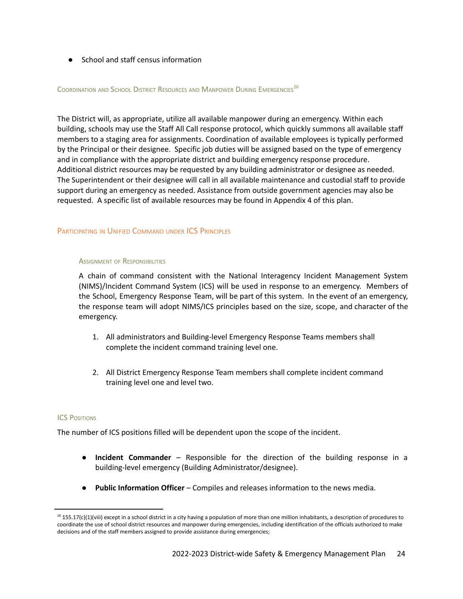● School and staff census information

#### <span id="page-24-0"></span>COORDINATION AND SCHOOL DISTRICT RESOURCES AND MANPOWER DURING EMERGENCIES<sup>26</sup>

The District will, as appropriate, utilize all available manpower during an emergency. Within each building, schools may use the Staff All Call response protocol, which quickly summons all available staff members to a staging area for assignments. Coordination of available employees is typically performed by the Principal or their designee. Specific job duties will be assigned based on the type of emergency and in compliance with the appropriate district and building emergency response procedure. Additional district resources may be requested by any building administrator or designee as needed. The Superintendent or their designee will call in all available maintenance and custodial staff to provide support during an emergency as needed. Assistance from outside government agencies may also be requested. A specific list of available resources may be found in Appendix 4 of this plan.

#### <span id="page-24-2"></span><span id="page-24-1"></span>PARTICIPATING IN UNIFIED COMMAND UNDER ICS PRINCIPLES

#### **ASSIGNMENT OF RESPONSIBILITIES**

A chain of command consistent with the National Interagency Incident Management System (NIMS)/Incident Command System (ICS) will be used in response to an emergency. Members of the School, Emergency Response Team, will be part of this system. In the event of an emergency, the response team will adopt NIMS/ICS principles based on the size, scope, and character of the emergency.

- 1. All administrators and Building-level Emergency Response Teams members shall complete the incident command training level one.
- 2. All District Emergency Response Team members shall complete incident command training level one and level two.

#### <span id="page-24-3"></span>**ICS POSITIONS**

The number of ICS positions filled will be dependent upon the scope of the incident.

- **Incident Commander** Responsible for the direction of the building response in a building-level emergency (Building Administrator/designee).
- **Public Information Officer** Compiles and releases information to the news media.

 $^{26}$  155.17(c)(1)(viii) except in a school district in a city having a population of more than one million inhabitants, a description of procedures to coordinate the use of school district resources and manpower during emergencies, including identification of the officials authorized to make decisions and of the staff members assigned to provide assistance during emergencies;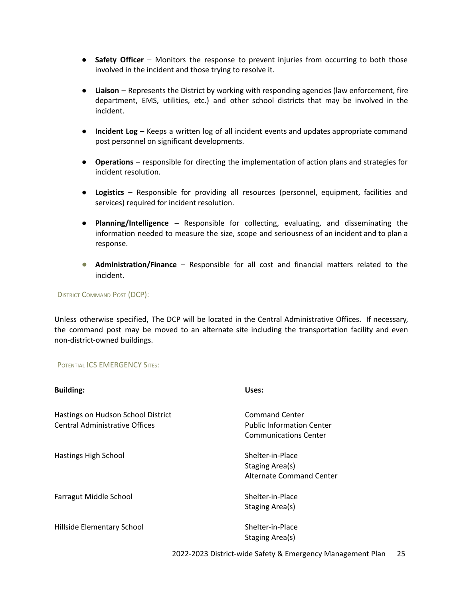- **Safety Officer** Monitors the response to prevent injuries from occurring to both those involved in the incident and those trying to resolve it.
- **Liaison** Represents the District by working with responding agencies (law enforcement, fire department, EMS, utilities, etc.) and other school districts that may be involved in the incident.
- **Incident Log** Keeps a written log of all incident events and updates appropriate command post personnel on significant developments.
- **Operations** responsible for directing the implementation of action plans and strategies for incident resolution.
- **Logistics** Responsible for providing all resources (personnel, equipment, facilities and services) required for incident resolution.
- **Planning/Intelligence** Responsible for collecting, evaluating, and disseminating the information needed to measure the size, scope and seriousness of an incident and to plan a response.
- **Administration/Finance** Responsible for all cost and financial matters related to the incident.

#### <span id="page-25-0"></span>DISTRICT COMMAND POST (DCP):

Unless otherwise specified, The DCP will be located in the Central Administrative Offices. If necessary, the command post may be moved to an alternate site including the transportation facility and even non-district-owned buildings.

#### <span id="page-25-1"></span>POTENTIAL ICS EMERGENCY SITES:

| <b>Building:</b>                                                     | Uses:                                                                                     |
|----------------------------------------------------------------------|-------------------------------------------------------------------------------------------|
| Hastings on Hudson School District<br>Central Administrative Offices | <b>Command Center</b><br><b>Public Information Center</b><br><b>Communications Center</b> |
| Hastings High School                                                 | Shelter-in-Place<br>Staging Area(s)<br>Alternate Command Center                           |
| Farragut Middle School                                               | Shelter-in-Place<br>Staging Area(s)                                                       |
| Hillside Elementary School                                           | Shelter-in-Place<br>Staging Area(s)                                                       |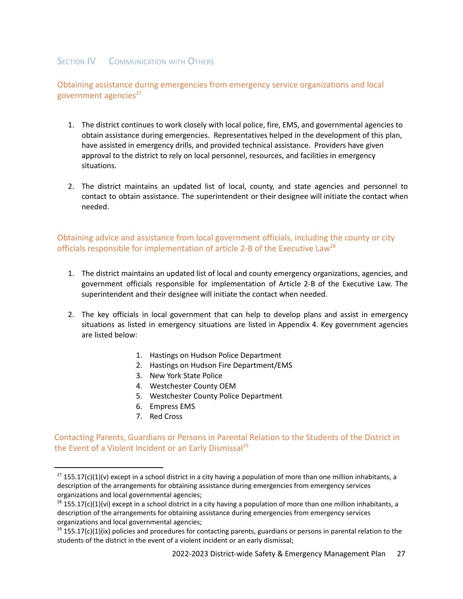## <span id="page-27-0"></span>SECTION **IV** COMMUNICATION WITH OTHERS

<span id="page-27-1"></span>Obtaining assistance during emergencies from emergency service organizations and local government agencies $27$ 

- 1. The district continues to work closely with local police, fire, EMS, and governmental agencies to obtain assistance during emergencies. Representatives helped in the development of this plan, have assisted in emergency drills, and provided technical assistance. Providers have given approval to the district to rely on local personnel, resources, and facilities in emergency situations.
- 2. The district maintains an updated list of local, county, and state agencies and personnel to contact to obtain assistance. The superintendent or their designee will initiate the contact when needed.

<span id="page-27-2"></span>Obtaining advice and assistance from local government officials, including the county or city officials responsible for implementation of article 2-B of the Executive Law<sup>28</sup>

- 1. The district maintains an updated list of local and county emergency organizations, agencies, and government officials responsible for implementation of Article 2-B of the Executive Law. The superintendent and their designee will initiate the contact when needed.
- 2. The key officials in local government that can help to develop plans and assist in emergency situations as listed in emergency situations are listed in Appendix 4. Key government agencies are listed below:
	- 1. Hastings on Hudson Police Department
	- 2. Hastings on Hudson Fire Department/EMS
	- 3. New York State Police
	- 4. Westchester County OEM
	- 5. Westchester County Police Department
	- 6. Empress EMS
	- 7. Red Cross

<span id="page-27-3"></span>Contacting Parents, Guardians or Persons in Parental Relation to the Students of the District in the Event of a Violent Incident or an Early Dismissal<sup>29</sup>

 $^{27}$  155.17(c)(1)(v) except in a school district in a city having a population of more than one million inhabitants, a description of the arrangements for obtaining assistance during emergencies from emergency services organizations and local governmental agencies;

 $^{28}$  155.17(c)(1)(vi) except in a school district in a city having a population of more than one million inhabitants, a description of the arrangements for obtaining assistance during emergencies from emergency services organizations and local governmental agencies;

 $29$  155.17(c)(1)(ix) policies and procedures for contacting parents, guardians or persons in parental relation to the students of the district in the event of a violent incident or an early dismissal;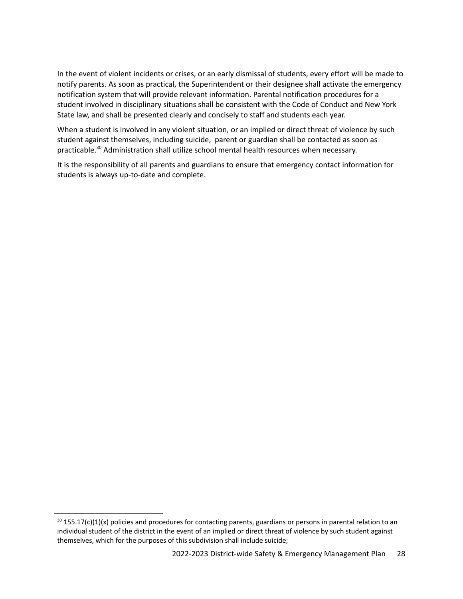In the event of violent incidents or crises, or an early dismissal of students, every effort will be made to notify parents. As soon as practical, the Superintendent or their designee shall activate the emergency notification system that will provide relevant information. Parental notification procedures for a student involved in disciplinary situations shall be consistent with the Code of Conduct and New York State law, and shall be presented clearly and concisely to staff and students each year.

When a student is involved in any violent situation, or an implied or direct threat of violence by such student against themselves, including suicide, parent or guardian shall be contacted as soon as practicable.<sup>30</sup> Administration shall utilize school mental health resources when necessary.

It is the responsibility of all parents and guardians to ensure that emergency contact information for students is always up-to-date and complete.

 $30$  155.17(c)(1)(x) policies and procedures for contacting parents, guardians or persons in parental relation to an individual student of the district in the event of an implied or direct threat of violence by such student against themselves, which for the purposes of this subdivision shall include suicide;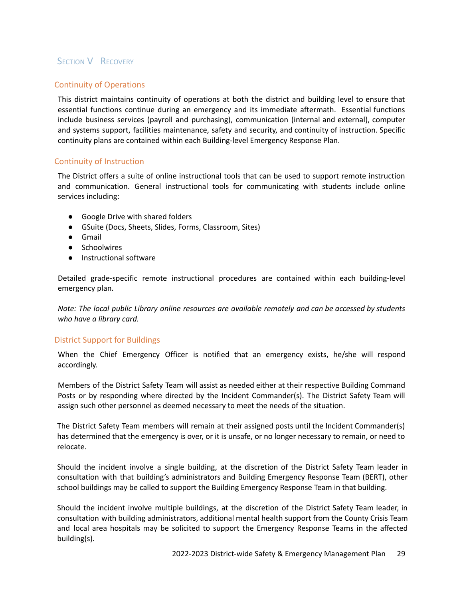## <span id="page-29-0"></span>**SECTION V RECOVERY**

#### Continuity of Operations

This district maintains continuity of operations at both the district and building level to ensure that essential functions continue during an emergency and its immediate aftermath. Essential functions include business services (payroll and purchasing), communication (internal and external), computer and systems support, facilities maintenance, safety and security, and continuity of instruction. Specific continuity plans are contained within each Building-level Emergency Response Plan.

#### Continuity of Instruction

The District offers a suite of online instructional tools that can be used to support remote instruction and communication. General instructional tools for communicating with students include online services including:

- Google Drive with shared folders
- GSuite (Docs, Sheets, Slides, Forms, Classroom, Sites)
- Gmail
- Schoolwires
- Instructional software

Detailed grade-specific remote instructional procedures are contained within each building-level emergency plan.

*Note: The local public Library online resources are available remotely and can be accessed by students who have a library card.*

#### District Support for Buildings

When the Chief Emergency Officer is notified that an emergency exists, he/she will respond accordingly.

Members of the District Safety Team will assist as needed either at their respective Building Command Posts or by responding where directed by the Incident Commander(s). The District Safety Team will assign such other personnel as deemed necessary to meet the needs of the situation.

The District Safety Team members will remain at their assigned posts until the Incident Commander(s) has determined that the emergency is over, or it is unsafe, or no longer necessary to remain, or need to relocate.

Should the incident involve a single building, at the discretion of the District Safety Team leader in consultation with that building's administrators and Building Emergency Response Team (BERT), other school buildings may be called to support the Building Emergency Response Team in that building.

Should the incident involve multiple buildings, at the discretion of the District Safety Team leader, in consultation with building administrators, additional mental health support from the County Crisis Team and local area hospitals may be solicited to support the Emergency Response Teams in the affected building(s).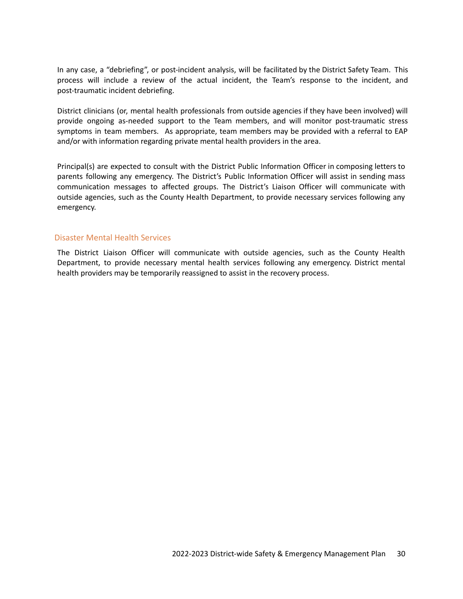In any case, a "debriefing", or post-incident analysis, will be facilitated by the District Safety Team. This process will include a review of the actual incident, the Team's response to the incident, and post-traumatic incident debriefing.

District clinicians (or, mental health professionals from outside agencies if they have been involved) will provide ongoing as-needed support to the Team members, and will monitor post-traumatic stress symptoms in team members. As appropriate, team members may be provided with a referral to EAP and/or with information regarding private mental health providers in the area.

Principal(s) are expected to consult with the District Public Information Officer in composing letters to parents following any emergency. The District's Public Information Officer will assist in sending mass communication messages to affected groups. The District's Liaison Officer will communicate with outside agencies, such as the County Health Department, to provide necessary services following any emergency.

#### Disaster Mental Health Services

The District Liaison Officer will communicate with outside agencies, such as the County Health Department, to provide necessary mental health services following any emergency. District mental health providers may be temporarily reassigned to assist in the recovery process.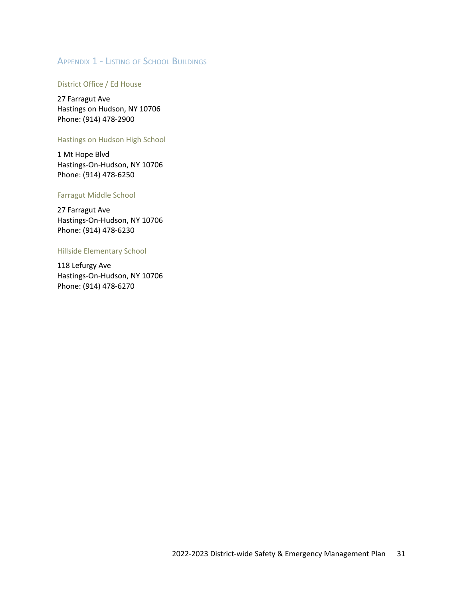## <span id="page-31-0"></span>APPENDIX 1 - LISTING OF SCHOOL BUILDINGS

#### District Office / Ed House

27 Farragut Ave Hastings on Hudson, NY 10706 Phone: (914) 478-2900

#### Hastings on Hudson High School

1 Mt Hope Blvd Hastings-On-Hudson, NY 10706 Phone: (914) 478-6250

#### Farragut Middle School

27 Farragut Ave Hastings-On-Hudson, NY 10706 [Phone](https://www.google.com/search?rlz=1C1CHBF_enUS863US863&q=farragut+middle+school+phone&ludocid=11598396709864510275&sa=X&ved=2ahUKEwjK4YHwu-bqAhVXl3IEHQZUCt4Q6BMwEXoECBUQBQ): (914) 478-6230

#### Hillside Elementary School

118 Lefurgy Ave Hastings-On-Hudson, NY 10706 [Phone](https://www.google.com/search?rlz=1C1CHBF_enUS863US863&q=hillside+elementary+school+hastings-on-hudson+phone&ludocid=9607218340256674914&sa=X&ved=2ahUKEwjdnpOTvObqAhXEgnIEHU0bAxUQ6BMwEXoECBoQBQ): (914) [478-6270](https://www.google.com/search?rlz=1C1CHBF_enUS863US863&ei=oiEbX8qIOdeuytMPhqip8A0&q=hastings+on+hudson+elementary+school&oq=hastings+on+hudson+elementary+school&gs_lcp=CgZwc3ktYWIQAzILCC4QxwEQrwEQkwIyBggAEBYQHjIGCAAQFhAeMgYIABAWEB4yBggAEBYQHjoHCAAQRxCwAzoCCAA6CAguEMcBEK8BOg0ILhDHARCvARANEJMCOggIABAIEA0QHlCfjgRY3KMEYMOlBGgCcAB4AoABoQOIAeIVkgEIMTUuNS40LTKYAQCgAQGqAQdnd3Mtd2l6wAEB&sclient=psy-ab&ved=0ahUKEwjK4YHwu-bqAhVXl3IEHQZUCt4Q4dUDCAw&uact=5#)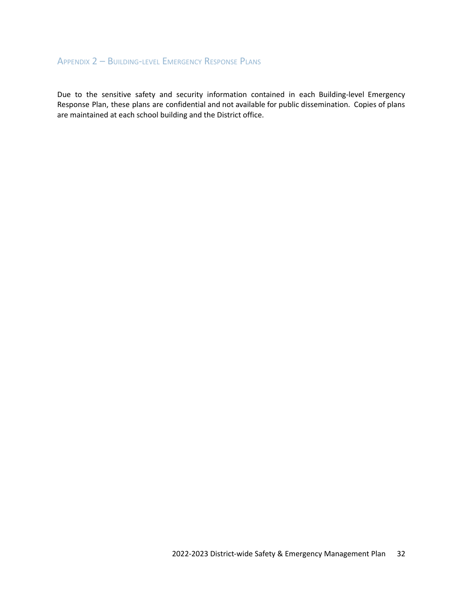### <span id="page-32-0"></span>APPENDIX 2 – BUILDING-LEVEL EMERGENCY RESPONSE PLANS

Due to the sensitive safety and security information contained in each Building-level Emergency Response Plan, these plans are confidential and not available for public dissemination. Copies of plans are maintained at each school building and the District office.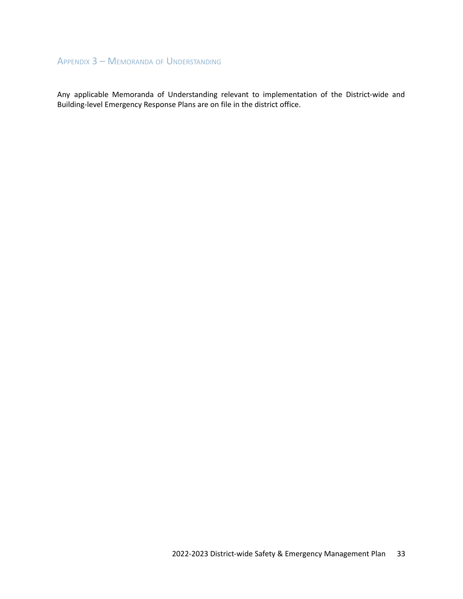## <span id="page-33-0"></span>APPENDIX 3 – MEMORANDA OF UNDERSTANDING

Any applicable Memoranda of Understanding relevant to implementation of the District-wide and Building-level Emergency Response Plans are on file in the district office.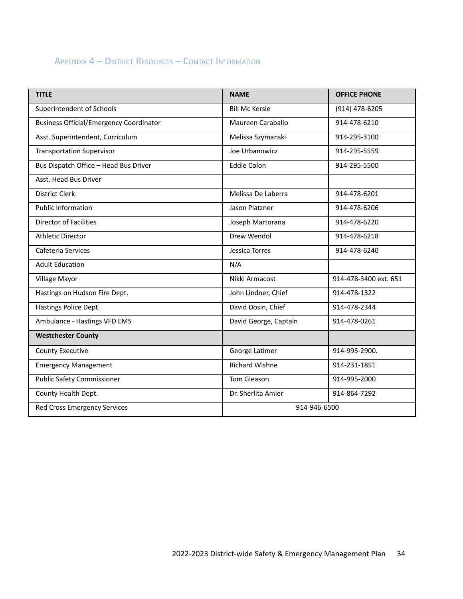## <span id="page-34-0"></span>APPENDIX 4 – DISTRICT RESOURCES – CONTACT INFORMATION

| <b>TITLE</b>                                   | <b>NAME</b>           | <b>OFFICE PHONE</b>   |
|------------------------------------------------|-----------------------|-----------------------|
| Superintendent of Schools                      | <b>Bill Mc Kersie</b> | (914) 478-6205        |
| <b>Business Official/Emergency Coordinator</b> | Maureen Caraballo     | 914-478-6210          |
| Asst. Superintendent, Curriculum               | Melissa Szymanski     | 914-295-3100          |
| <b>Transportation Supervisor</b>               | Joe Urbanowicz        | 914-295-5559          |
| Bus Dispatch Office - Head Bus Driver          | <b>Eddie Colon</b>    | 914-295-5500          |
| Asst. Head Bus Driver                          |                       |                       |
| <b>District Clerk</b>                          | Melissa De Laberra    | 914-478-6201          |
| <b>Public Information</b>                      | Jason Platzner        | 914-478-6206          |
| <b>Director of Facilities</b>                  | Joseph Martorana      | 914-478-6220          |
| <b>Athletic Director</b>                       | Drew Wendol           | 914-478-6218          |
| Cafeteria Services                             | Jessica Torres        | 914-478-6240          |
| <b>Adult Education</b>                         | N/A                   |                       |
| Village Mayor                                  | Nikki Armacost        | 914-478-3400 ext. 651 |
| Hastings on Hudson Fire Dept.                  | John Lindner, Chief   | 914-478-1322          |
| Hastings Police Dept.                          | David Dosin, Chief    | 914-478-2344          |
| Ambulance - Hastings VFD EMS                   | David George, Captain | 914-478-0261          |
| <b>Westchester County</b>                      |                       |                       |
| <b>County Executive</b>                        | George Latimer        | 914-995-2900.         |
| <b>Emergency Management</b>                    | <b>Richard Wishne</b> | 914-231-1851          |
| <b>Public Safety Commissioner</b>              | Tom Gleason           | 914-995-2000          |
| County Health Dept.                            | Dr. Sherlita Amler    | 914-864-7292          |
| <b>Red Cross Emergency Services</b>            | 914-946-6500          |                       |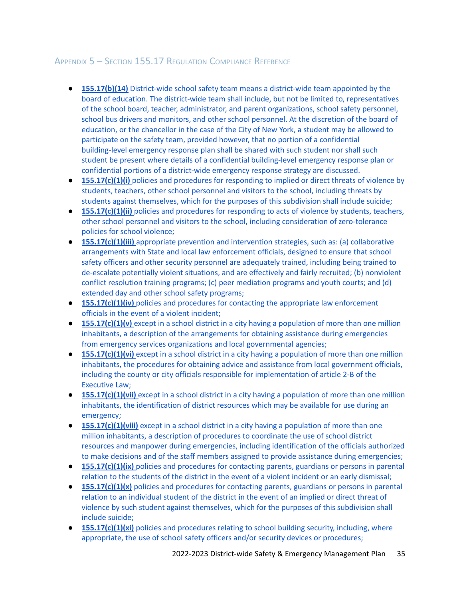## <span id="page-35-0"></span>APPENDIX 5 – SECTION 155.17 REGULATION COMPLIANCE REFERENCE

- **[155.17\(b\)\(14\)](#page-5-1)** District-wide school safety team means a district-wide team appointed by the board of education. The district-wide team shall include, but not be limited to, [representatives](#page-5-1) of the school board, teacher, [administrator,](#page-5-1) and parent organizations, school safety personnel, school bus drivers and monitors, and other school [personnel.](#page-5-1) At the discretion of the board of [education,](#page-5-1) or the chancellor in the case of the City of New York, a student may be allowed to participate on the safety team, provided however, that no portion of a [confidential](#page-5-1) [building-level](#page-5-1) emergency response plan shall be shared with such student nor shall such student be present where details of a confidential [building-level](#page-5-1) emergency response plan or confidential portions of a [district-wide](#page-5-1) emergency response strategy are discussed.
- **[155.17\(c\)\(1\)\(i\)](#page-18-1)** policies and procedures for responding to implied or direct threats of violence by students, teachers, other school [personnel](#page-18-1) and visitors to the school, including threats by students against [themselves,](#page-18-1) which for the purposes of this subdivision shall include suicide;
- **[155.17\(c\)\(1\)\(ii\)](#page-20-0)** policies and procedures for responding to acts of violence by students, teachers, other school personnel and visitors to the school, including consideration of [zero-tolerance](#page-20-0) policies for school [violence;](#page-20-0)
- **[155.17\(c\)\(1\)\(iii\)](#page-8-1)** appropriate prevention and intervention strategies, such as: (a) collaborative [arrangements](#page-8-1) with State and local law enforcement officials, designed to ensure that school safety officers and other security personnel are [adequately](#page-8-1) trained, including being trained to [de-escalate](#page-8-1) potentially violent situations, and are effectively and fairly recruited; (b) nonviolent conflict resolution training programs; (c) peer [mediation](#page-8-1) programs and youth courts; and (d) extended day and other school safety [programs;](#page-8-1)
- **[155.17\(c\)\(1\)\(iv\)](#page-20-1)** policies and procedures for contacting the appropriate law enforcement officials in the event of a violent [incident;](#page-20-1)
- **• [155.17\(c\)\(1\)\(v\)](#page-27-1)** except in a school district in a city having a population of more than one million inhabitants, a description of the [arrangements](#page-27-1) for obtaining assistance during emergencies from emergency services organizations and local [governmental](#page-27-1) agencies;
- **[155.17\(c\)\(1\)\(vi\)](#page-27-2)** except in a school district in a city having a population of more than one million inhabitants, the procedures for obtaining advice and assistance from local [government](#page-27-2) officials, including the county or city officials responsible for [implementation](#page-27-2) of article 2-B of the [Executive](#page-27-2) Law;
- **[155.17\(c\)\(1\)\(vii\)](#page-23-0)** except in a school district in a city having a population of more than one million inhabitants, the [identification](#page-23-0) of district resources which may be available for use during an [emergency;](#page-23-0)
- **[155.17\(c\)\(1\)\(viii\)](#page-24-0)** except in a school district in a city having a population of more than one million [inhabitants,](#page-24-0) a description of procedures to coordinate the use of school district resources and manpower during [emergencies,](#page-24-0) including identification of the officials authorized to make decisions and of the staff members assigned to provide assistance during [emergencies;](#page-24-0)
- **[155.17\(c\)\(1\)\(ix\)](#page-27-3)** policies and procedures for contacting parents, guardians or persons in parental relation to the students of the district in the event of a violent incident or an early [dismissal;](#page-27-3)
- **[155.17\(c\)\(1\)\(x\)](#page-27-3)** policies and procedures for contacting parents, guardians or persons in parental relation to an [individual](#page-27-3) student of the district in the event of an implied or direct threat of violence by such student against [themselves,](#page-27-3) which for the purposes of this subdivision shall include [suicide;](#page-27-3)
- **[155.17\(c\)\(1\)\(xi\)](#page-8-2)** policies and procedures relating to school building security, including, where [appropriate,](#page-8-2) the use of school safety officers and/or security devices or procedures;